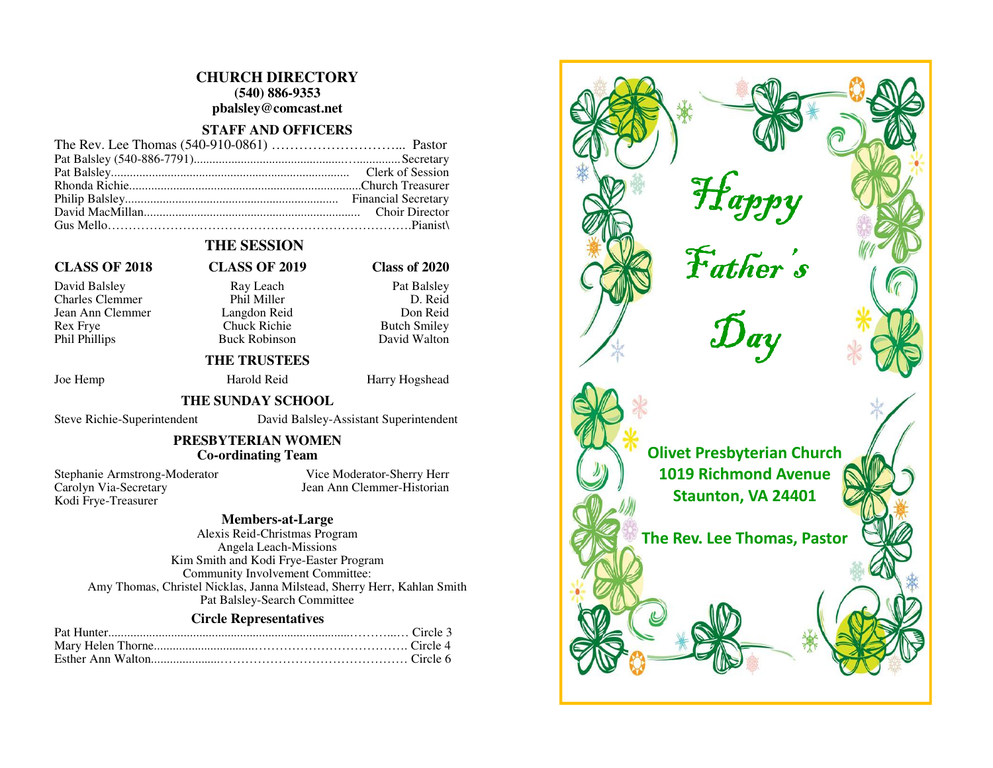## **CHURCH DIRECTORY (540) 886-9353 pbalsley@comcast.net**

#### **STAFF AND OFFICERS**

# **THE SESSION**

#### **CLASS OF 2018 CLASS OF 2019 Class of 2020**

David Balsley Ray Leach Pat Balsley Charles Clemmer Jean Ann Clemmer Langdon Reid Rex Frye Chuck Richie Butch Smiley Phil Phillips Buck Robinson

D. Reid Don Reid David Walton

#### **THE TRUSTEES**

Joe Hemp Harold Reid Harry Hogshead

#### **THE SUNDAY SCHOOL**

Steve Richie-Superintendent David Balsley-Assistant Superintendent

# **PRESBYTERIAN WOMEN**

# **Co-ordinating Team**

Stephanie Armstrong-Moderator Vice Moderator-Sherry Herr Carolyn Via-Secretary Jean Ann Clemmer-Historian Kodi Frye-Treasurer

### **Members-at-Large**

 Alexis Reid-Christmas Program Angela Leach-Missions Kim Smith and Kodi Frye-Easter Program Community Involvement Committee: Amy Thomas, Christel Nicklas, Janna Milstead, Sherry Herr, Kahlan Smith Pat Balsley-Search Committee

#### **Circle Representatives**